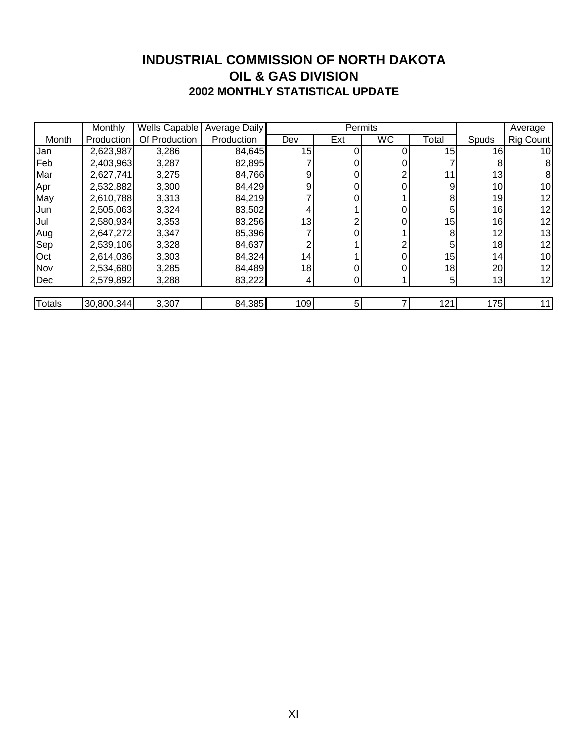#### **INDUSTRIAL COMMISSION OF NORTH DAKOTA 2002 MONTHLY STATISTICAL UPDATE OIL & GAS DIVISION**

|            | <b>Monthly</b> | Wells Capable | <b>Average Daily</b> |     | Permits |           |       |                 | Average         |
|------------|----------------|---------------|----------------------|-----|---------|-----------|-------|-----------------|-----------------|
| Month      | Production     | Of Production | Production           | Dev | Ext     | <b>WC</b> | Total | Spuds           | Rig Count       |
| Jan        | 2,623,987      | 3,286         | 84,645               | 15  |         |           | 15    | 16I             | 10              |
| Feb        | 2,403,963      | 3,287         | 82,895               |     |         |           |       |                 | 8 <sup>1</sup>  |
| Mar        | 2,627,741      | 3,275         | 84,766               |     |         |           | 11    | 13              | 8               |
| <b>Apr</b> | 2,532,882      | 3,300         | 84,429               | 9   |         |           | 9     | 10I             | 10              |
| May        | 2,610,788      | 3,313         | 84,219               |     |         |           | 8     | 19 I            | 12              |
| Jun        | 2,505,063      | 3,324         | 83,502               |     |         |           | 5     | 16              | 12              |
| Jul        | 2,580,934      | 3,353         | 83,256               | 13  |         |           | 15    | 16              | 12              |
| Aug        | 2,647,272      | 3,347         | 85,396               |     |         |           | 8     | 12              | 13              |
| Sep        | 2,539,106      | 3,328         | 84,637               |     |         |           | 5     | 18 <sup>1</sup> | 12              |
| Oct        | 2,614,036      | 3,303         | 84,324               | 4   |         |           | 15    | 14              | 10 <sup>1</sup> |
| Nov        | 2,534,680      | 3,285         | 84,489               | 18  |         |           | 18    | 20              | 12              |
| Dec        | 2,579,892      | 3,288         | 83,222               |     |         |           | 5     | 13              | 12              |
|            |                |               |                      |     |         |           |       |                 |                 |
| Totals     | 30,800,344     | 3,307         | 84,385               | 109 | 5       |           | 121   | 175             | 11              |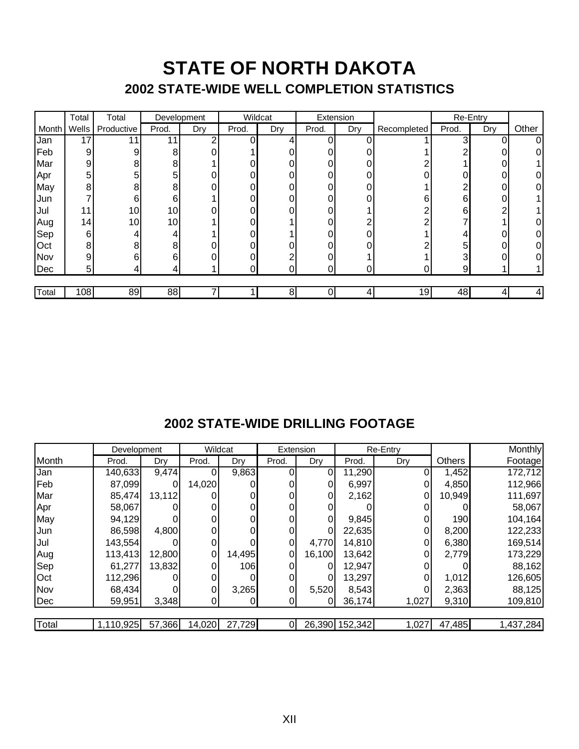## **STATE OF NORTH DAKOTA 2002 STATE-WIDE WELL COMPLETION STATISTICS**

|       | Total           | Total           | Development     |     | Wildcat |     | Extension |     |             | Re-Entry |     |       |
|-------|-----------------|-----------------|-----------------|-----|---------|-----|-----------|-----|-------------|----------|-----|-------|
| Month | Wells           | Productive      | Prod.           | Dry | Prod.   | Dry | Prod.     | Dry | Recompleted | Prod.    | Dry | Other |
| IJan  | 17 <sub>l</sub> |                 | 11              | റ   | 0       |     |           |     |             | ς        |     | 01    |
| Feb   | $\overline{9}$  | 9               | 8               |     |         |     |           |     |             |          |     |       |
| Mar   | 9               | 8               | 8               |     |         |     |           |     |             |          |     |       |
| Apr   | 5               | 5               | 5               | 0   | 0       |     |           |     |             | 0        |     |       |
| May   | 8               | 8               | 8               |     | 0       |     |           |     |             | ົ        |     |       |
| Jun   |                 | 6               | 6               |     | 0       |     |           | 0   | 6           | 6        |     |       |
| Jul   | 11              | 10 <sub>1</sub> | 10 <sub>1</sub> |     |         |     |           |     |             | 6        | ົ   |       |
| Aug   | 14 <sub>l</sub> | 10 <sup>1</sup> | 10              |     |         |     |           |     |             |          |     |       |
| Sep   | $6 \mid$        |                 |                 |     | 0       |     |           | 0   |             |          |     |       |
| Oct   | 8               | 8               | 8               |     |         |     |           |     |             | 5        |     |       |
| Nov   | $\overline{9}$  | 6               | 6               |     | 0       |     |           |     |             | ◠        |     |       |
| Dec   | 5               |                 |                 |     | 0       | 0   | ი         |     |             | 9        |     |       |
|       |                 |                 |                 |     |         |     |           |     |             |          |     |       |
| Total | 108             | 89              | 88              |     |         | 8   |           |     | 19          | 48       |     | 4     |

### **2002 STATE-WIDE DRILLING FOOTAGE**

|            | Development |          | Wildcat        |        | Extension |        |                | Re-Entry |               | <b>Monthly</b> |
|------------|-------------|----------|----------------|--------|-----------|--------|----------------|----------|---------------|----------------|
| Month      | Prod.       | Dry      | Prod.          | Dry    | Prod.     | Dry    | Prod.          | Dry      | <b>Others</b> | Footagel       |
| Jan        | 140,633     | 9,474    | $\Omega$       | 9,863  |           | 0      | 11,290         |          | 1,452         | 172,712        |
| Feb        | 87,099      | $\Omega$ | 14,020         |        |           |        | 6,997          |          | 4,850         | 112,966        |
| Mar        | 85,474      | 13,112   |                |        |           |        | 2,162          |          | 10,949        | 111,697        |
| Apr        | 58,067      |          |                |        |           |        |                |          |               | 58,067         |
| May        | 94,129      |          | 0              |        |           |        | 9,845          |          | 190           | 104,164        |
| Jun        | 86,598      | 4,800    |                |        |           |        | 22,635         |          | 8,200         | 122,233        |
| Jul        | 143,554     |          | $\overline{0}$ |        | 0         | 4,770  | 14,810         | 0        | 6,380         | 169,514        |
| Aug        | 113,413     | 12,800   | 0              | 14,495 | 01        | 16,100 | 13,642         | 0        | 2,779         | 173,229        |
| Sep        | 61,277      | 13,832   | 0              | 106    |           |        | 12,947         |          |               | 88,162         |
| <b>Oct</b> | 112,296     |          | 0              |        |           |        | 13,297         |          | 1,012         | 126,605        |
| Nov        | 68,434      |          | 0              | 3,265  | 0         | 5,520  | 8,543          | 0        | 2,363         | 88,125         |
| Dec        | 59,951      | 3,348    | 0              | 0      |           |        | 36,174         | 1,027    | 9,310         | 109,810        |
|            |             |          |                |        |           |        |                |          |               |                |
| Total      | 1,110,925   | 57,366   | 14,020         | 27,729 |           |        | 26,390 152,342 | 1,027    | 47,485        | 1,437,284      |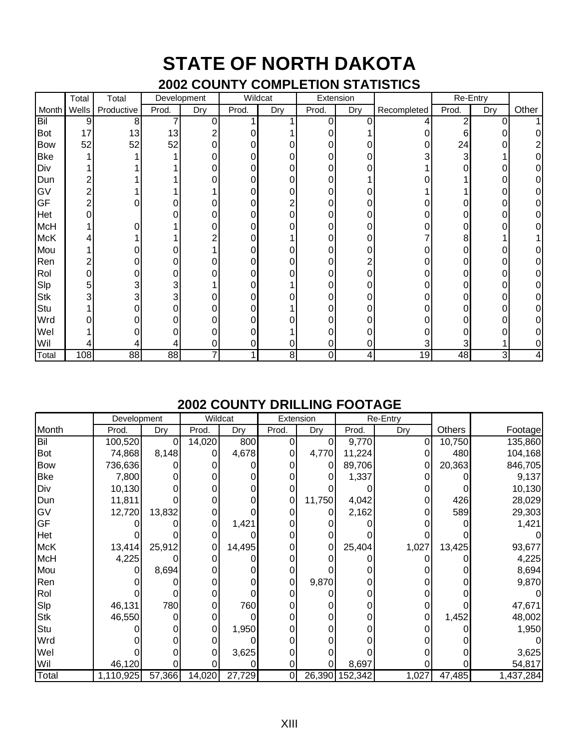# **STATE OF NORTH DAKOTA**

### **2002 COUNTY COMPLETION STATISTICS**

|            | Total          | Total      |       | Development    |       | Wildcat        |       | Extension |             | Re-Entry |     |       |
|------------|----------------|------------|-------|----------------|-------|----------------|-------|-----------|-------------|----------|-----|-------|
| Month      | Wells          | Productive | Prod. | Dry            | Prod. | Dry            | Prod. | Dry       | Recompleted | Prod.    | Dry | Other |
| Bil        | 9              | 8          |       | 0              |       |                | 0     | ი         | 4           | 2        | 0   |       |
| Bot        | 17             | 13         | 13    | 2              |       |                |       |           |             | 6        |     |       |
| Bow        | 52             | 52         | 52    | $\overline{0}$ |       | 0              |       |           | 0           | 24       |     |       |
| <b>Bke</b> |                |            |       | 0              |       | 0              |       |           | 3           | 3        |     |       |
| Div        |                |            |       |                |       |                |       |           |             |          |     |       |
| Dun        | $\overline{c}$ |            |       | 0              | 0     | 0              | 0     |           |             |          |     |       |
| GV         | $\overline{c}$ |            |       |                |       | 0              |       |           |             |          |     |       |
| GF         | $\overline{c}$ |            |       |                |       |                |       |           |             |          |     |       |
| Het        | 0              |            |       | 0              |       | 0              |       |           |             |          |     |       |
| McH        |                |            |       | 0              |       | 0              |       |           |             |          |     |       |
| McK        |                |            |       | ⌒              |       |                |       |           |             | 8        |     |       |
| Mou        |                |            |       |                |       | 0              |       |           |             |          |     |       |
| Ren        | 2              |            |       |                |       | ი              |       |           |             |          |     |       |
| Rol        | 0              |            | 0     | 0              | 0     | 0              | 0     | ი         | 0           |          |     |       |
| Slp        | 5              | 3          | 3     |                |       |                |       |           |             |          |     |       |
| Stk        | 3              |            |       | 0              |       |                |       |           |             |          |     |       |
| Stu        |                |            | 0     | 0              |       |                |       |           |             |          |     |       |
| Wrd        | 0              |            |       | 0              |       | 0              |       |           |             |          |     |       |
| Wel        |                |            |       | 0              |       |                |       |           |             |          |     |       |
| Wil        | 4              |            |       | 0              | 0     | 0              | 0     |           | 3           |          |     |       |
| Total      | 108            | 88         | 88    | 7              |       | 8 <sup>1</sup> | 0     |           | 19          | 48       | 3   |       |

### **2002 COUNTY DRILLING FOOTAGE**

|            | Development |        |                     | Wildcat | Extension      |        | Re-Entry       |       |        |           |
|------------|-------------|--------|---------------------|---------|----------------|--------|----------------|-------|--------|-----------|
| Month      | Prod.       | Dry    | Prod.               | Dry     | Prod.          | Dry    | Prod.          | Dry   | Others | Footage   |
| Bil        | 100,520     | Ω      | 14,020              | 800     | 0              | 0      | 9,770          | 0     | 10,750 | 135,860   |
| <b>Bot</b> | 74,868      | 8,148  |                     | 4,678   |                | 4,770  | 11,224         |       | 480    | 104,168   |
| Bow        | 736,636     |        |                     |         |                | 0      | 89,706         |       | 20,363 | 846,705   |
| Bke        | 7,800       |        |                     |         |                |        | 1,337          |       |        | 9,137     |
| Div        | 10,130      |        |                     |         |                |        |                |       |        | 10,130    |
| Dun        | 11,811      |        | 0                   |         | 0              | 11,750 | 4,042          |       | 426    | 28,029    |
| GV         | 12,720      | 13,832 | $\overline{0}$      |         |                |        | 2,162          |       | 589    | 29,303    |
| GF         |             |        | 0                   | 1,421   |                |        |                |       |        | 1,421     |
| Het        |             |        | 0                   |         |                |        |                |       |        |           |
| McK        | 13,414      | 25,912 | 0                   | 14,495  |                | 0      | 25,404         | 1,027 | 13,425 | 93,677    |
| McH        | 4,225       |        |                     |         |                |        |                |       |        | 4,225     |
| Mou        |             | 8,694  | 0                   |         |                |        |                |       |        | 8,694     |
| Ren        |             |        |                     |         |                | 9,870  |                |       |        | 9,870     |
| Rol        |             |        | 0                   |         |                |        |                |       |        |           |
| Slp        | 46,131      | 780    | 0                   | 760     |                |        |                |       |        | 47,671    |
| Stk        | 46,550      |        | 0                   |         |                |        |                |       | 1,452  | 48,002    |
| Stu        |             |        | $\Omega$            | 1,950   |                |        |                |       |        | 1,950     |
| Wrd        |             |        | 0                   |         |                |        |                |       |        |           |
| Wel        |             |        |                     | 3,625   |                |        |                |       |        | 3,625     |
| Wil        | 46,120      |        |                     |         | 0              |        | 8,697          |       |        | 54,817    |
| Total      | 1,110,925   | 57,366 | $\overline{14,020}$ | 27,729  | $\overline{0}$ |        | 26,390 152,342 | 1,027 | 47,485 | 1,437,284 |